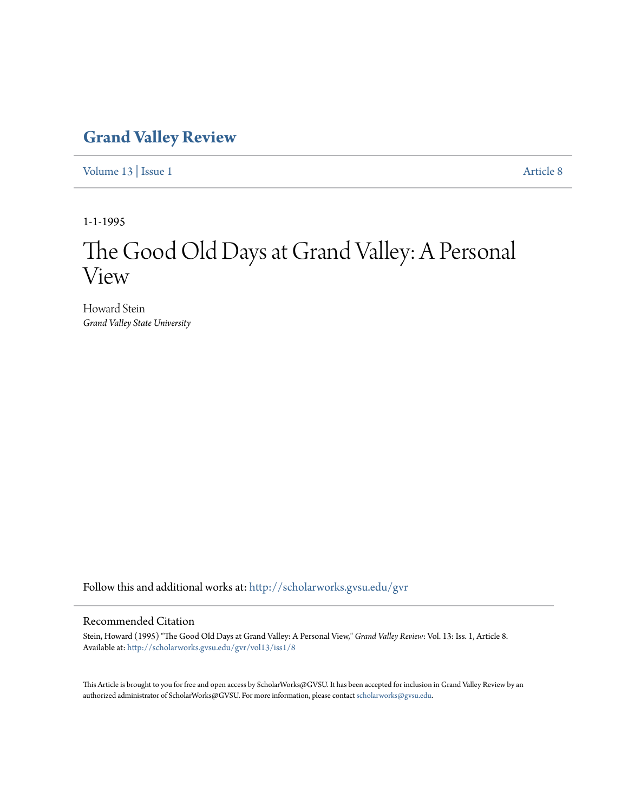# **[Grand Valley Review](http://scholarworks.gvsu.edu/gvr?utm_source=scholarworks.gvsu.edu%2Fgvr%2Fvol13%2Fiss1%2F8&utm_medium=PDF&utm_campaign=PDFCoverPages)**

[Volume 13](http://scholarworks.gvsu.edu/gvr/vol13?utm_source=scholarworks.gvsu.edu%2Fgvr%2Fvol13%2Fiss1%2F8&utm_medium=PDF&utm_campaign=PDFCoverPages) | [Issue 1](http://scholarworks.gvsu.edu/gvr/vol13/iss1?utm_source=scholarworks.gvsu.edu%2Fgvr%2Fvol13%2Fiss1%2F8&utm_medium=PDF&utm_campaign=PDFCoverPages) [Article 8](http://scholarworks.gvsu.edu/gvr/vol13/iss1/8?utm_source=scholarworks.gvsu.edu%2Fgvr%2Fvol13%2Fiss1%2F8&utm_medium=PDF&utm_campaign=PDFCoverPages)

1-1-1995

# The Good Old Days at Grand Valley: A Personal View

Howard Stein *Grand Valley State University*

Follow this and additional works at: [http://scholarworks.gvsu.edu/gvr](http://scholarworks.gvsu.edu/gvr?utm_source=scholarworks.gvsu.edu%2Fgvr%2Fvol13%2Fiss1%2F8&utm_medium=PDF&utm_campaign=PDFCoverPages)

## Recommended Citation

Stein, Howard (1995) "The Good Old Days at Grand Valley: A Personal View," *Grand Valley Review*: Vol. 13: Iss. 1, Article 8. Available at: [http://scholarworks.gvsu.edu/gvr/vol13/iss1/8](http://scholarworks.gvsu.edu/gvr/vol13/iss1/8?utm_source=scholarworks.gvsu.edu%2Fgvr%2Fvol13%2Fiss1%2F8&utm_medium=PDF&utm_campaign=PDFCoverPages)

This Article is brought to you for free and open access by ScholarWorks@GVSU. It has been accepted for inclusion in Grand Valley Review by an authorized administrator of ScholarWorks@GVSU. For more information, please contact [scholarworks@gvsu.edu.](mailto:scholarworks@gvsu.edu)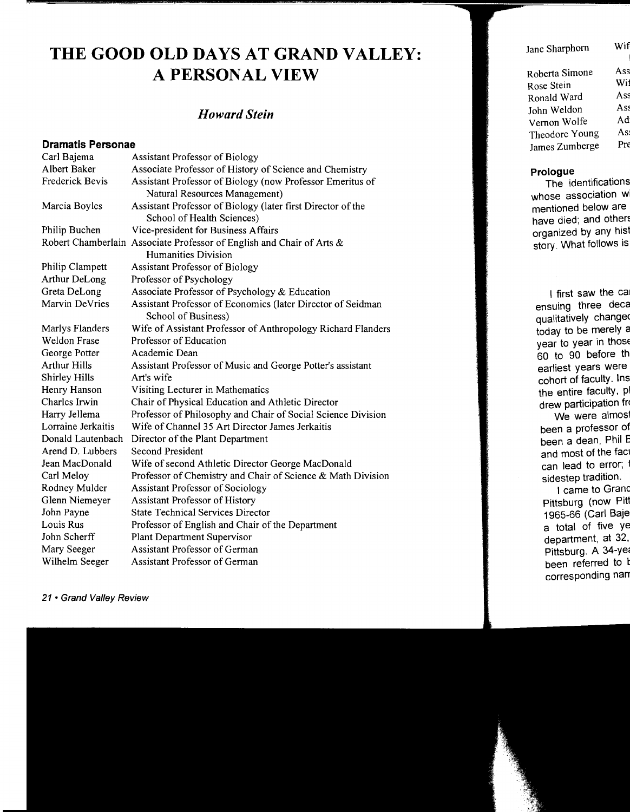# **THE GOOD OLD DAYS AT GRAND VALLEY: A PERSONAL VIEW**

# *Howard Stein*

### **Dramatis Personae**

| Carl Bajema          | <b>Assistant Professor of Biology</b>                                 |
|----------------------|-----------------------------------------------------------------------|
| Albert Baker         | Associate Professor of History of Science and Chemistry               |
| Frederick Bevis      | Assistant Professor of Biology (now Professor Emeritus of             |
|                      | Natural Resources Management)                                         |
| Marcia Boyles        | Assistant Professor of Biology (later first Director of the           |
|                      | School of Health Sciences)                                            |
| Philip Buchen        | Vice-president for Business Affairs                                   |
|                      | Robert Chamberlain Associate Professor of English and Chair of Arts & |
|                      | <b>Humanities Division</b>                                            |
| Philip Clampett      | <b>Assistant Professor of Biology</b>                                 |
| Arthur DeLong        | Professor of Psychology                                               |
| Greta DeLong         | Associate Professor of Psychology & Education                         |
| Marvin DeVries       | Assistant Professor of Economics (later Director of Seidman           |
|                      | School of Business)                                                   |
| Marlys Flanders      | Wife of Assistant Professor of Anthropology Richard Flanders          |
| <b>Weldon Frase</b>  | Professor of Education                                                |
| George Potter        | Academic Dean                                                         |
| <b>Arthur Hills</b>  | Assistant Professor of Music and George Potter's assistant            |
| <b>Shirley Hills</b> | Art's wife                                                            |
| Henry Hanson         | Visiting Lecturer in Mathematics                                      |
| Charles Irwin        | Chair of Physical Education and Athletic Director                     |
| Harry Jellema        | Professor of Philosophy and Chair of Social Science Division          |
| Lorraine Jerkaitis   | Wife of Channel 35 Art Director James Jerkaitis                       |
| Donald Lautenbach    | Director of the Plant Department                                      |
| Arend D. Lubbers     | <b>Second President</b>                                               |
| Jean MacDonald       | Wife of second Athletic Director George MacDonald                     |
| Carl Meloy           | Professor of Chemistry and Chair of Science & Math Division           |
| Rodney Mulder        | <b>Assistant Professor of Sociology</b>                               |
| Glenn Niemeyer       | <b>Assistant Professor of History</b>                                 |
| John Payne           | <b>State Technical Services Director</b>                              |
| Louis Rus            | Professor of English and Chair of the Department                      |
| John Scherff         | <b>Plant Department Supervisor</b>                                    |
| Mary Seeger          | Assistant Professor of German                                         |
| Wilhelm Seeger       | <b>Assistant Professor of German</b>                                  |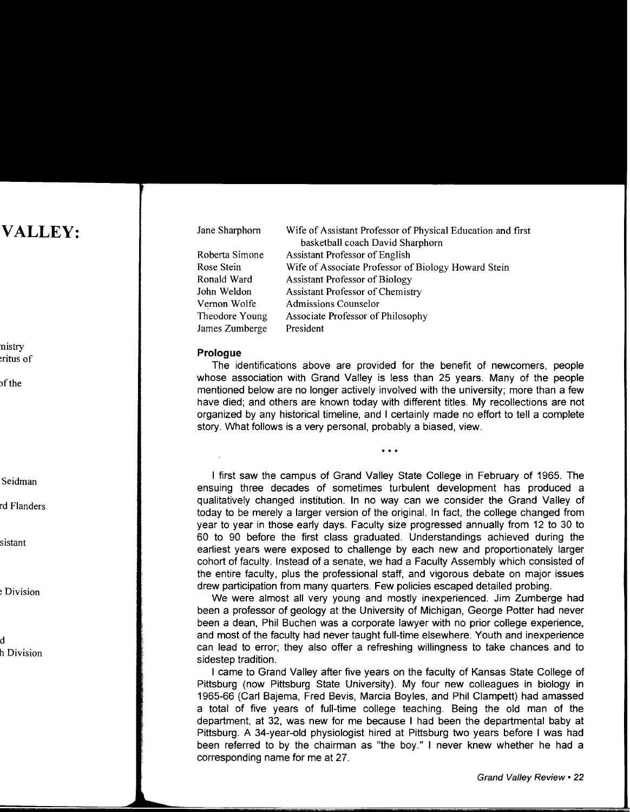| Jane Sharphorn | Wife of Assistant Professor of Physical Education and first |
|----------------|-------------------------------------------------------------|
|                | basketball coach David Sharphorn                            |
| Roberta Simone | <b>Assistant Professor of English</b>                       |
| Rose Stein     | Wife of Associate Professor of Biology Howard Stein         |
| Ronald Ward    | <b>Assistant Professor of Biology</b>                       |
| John Weldon    | <b>Assistant Professor of Chemistry</b>                     |
| Vernon Wolfe   | <b>Admissions Counselor</b>                                 |
| Theodore Young | Associate Professor of Philosophy                           |
| James Zumberge | President                                                   |

#### **Prologue**

The identifications above are provided for the benefit of newcomers, people whose association with Grand Valley is less than 25 years. Many of the people mentioned below are no longer actively involved with the university; more than a few have died; and others are known today with different titles. My recollections are not organized by any historical timeline, and I certainly made no effort to tell a complete story. What follows is a very personal, probably a biased, view.

 $\sim$   $\sim$   $\sim$ 

I first saw the campus of Grand Valley State College in February of 1965. The ensuing three decades of sometimes turbulent development has produced a qualitatively changed institution. In no way can we consider the Grand Valley of today to be merely a larger version of the original. In fact, the college changed from year to year in those early days. Faculty size progressed annually from 12 to 30 to 60 to 90 before the first class graduated. Understandings achieved during the earliest years were exposed to challenge by each new and proportionately larger cohort of faculty. Instead of a senate, we had a Faculty Assembly which consisted of the entire faculty, plus the professional staff, and vigorous debate on major issues drew participation from many quarters. Few policies escaped detailed probing.

We were almost all very young and mostly inexperienced. Jim Zumberge had been a professor of geology at the University of Michigan, George Potter had never been a dean, Phil Buchen was a corporate lawyer with no prior college experience, and most of the faculty had never taught full-time elsewhere. Youth and inexperience can lead to error; they also offer a refreshing willingness to take chances and to sidestep tradition.

I came to Grand Valley after five years on the faculty of Kansas State College of Pittsburg (now Pittsburg State University). My four new colleagues in biology in 1965-66 (Carl Bajema, Fred Bevis, Marcia Boyles, and Phil Clampett) had amassed a total of five years of full-time college teaching. Being the old man of the department, at 32, was new for me because I had been the departmental baby at Pittsburg. A 34-year-old physiologist hired at Pittsburg two years before I was had been referred to by the chairman as "the boy." I never knew whether he had a corresponding name for me at 27.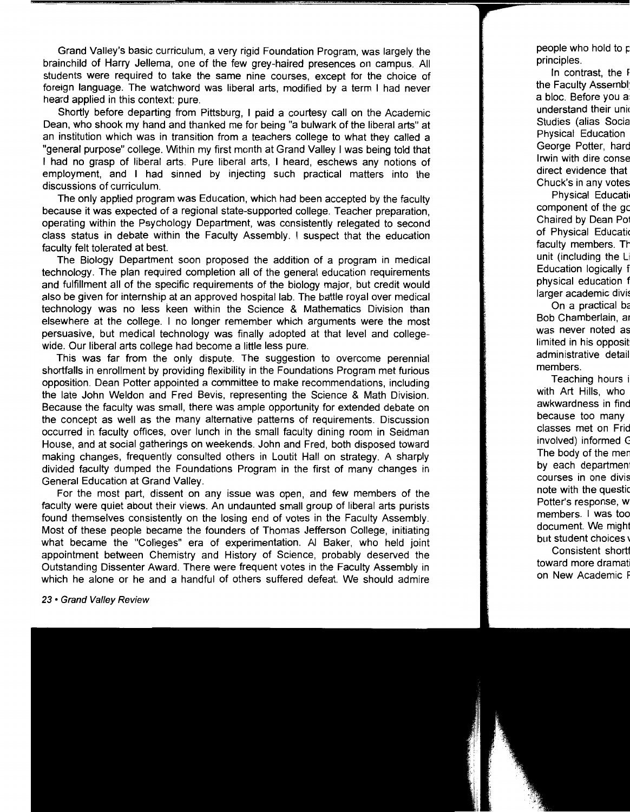Grand Valley's basic curriculum, a very rigid Foundation Program, was largely the brainchild of Harry Jellema, one of the few grey-haired presences on campus. All students were required to take the same nine courses, except for the choice of foreign language. The watchword was liberal arts, modified by a term 1 had never heard applied in this context: pure.

Shortly before departing from Pittsburg, I paid a courtesy call on the Academic Dean, who shook my hand and thanked me for being "a bulwark of the liberal arts" at an institution which was in transition from a teachers college to what they called a "general purpose" college. Within my first month at Grand Valley I was being told that I had no grasp of liberal arts. Pure liberal arts, I heard, eschews any notions of employment, and I had sinned by injecting such practical matters into the discussions of curriculum.

The only applied program was Education, which had been accepted by the faculty because it was expected of a regional state-supported college. Teacher preparation, operating within the Psychology Department, was consistently relegated to second class status in debate within the Faculty Assembly. I suspect that the education faculty felt tolerated at best.

The Biology Department soon proposed the addition of a program in medical technology. The plan required completion all of the general education requirements and fulfillment all of the specific requirements of the biology major, but credit would also be given for internship at an approved hospital lab. The battle royal over medical technology was no less keen within the Science & Mathematics Division than elsewhere at the college. I no longer remember which arguments were the most persuasive, but medical technology was finally adopted at that level and collegewide. Our liberal arts college had become a little less pure.

This was far from the only dispute. The suggestion to overcome perennial shortfalls in enrollment by providing flexibility in the Foundations Program met furious opposition. Dean Potter appointed a committee to make recommendations, including the late John Weldon and Fred Bevis, representing the Science & Math Division. Because the faculty was small, there was ample opportunity for extended debate on the concept as well as the many alternative patterns of requirements. Discussion occurred in faculty offices, over lunch in the small faculty dining room in Seidman House, and at social gatherings on weekends. John and Fred, both disposed toward making changes, frequently consulted others in Loutit Hall on strategy. A sharply divided faculty dumped the Foundations Program in the first of many changes in General Education at Grand Valley.

For the most part, dissent on any issue was open, and few members of the faculty were quiet about their views. An undaunted small group of liberal arts purists found themselves consistently on the losing end of votes in the Faculty Assembly. Most of these people became the founders of Thomas Jefferson College, initiating what became the "Colleges" era of experimentation. AI Baker, who held joint appointment between Chemistry and History of Science, probably deserved the Outstanding Dissenter Award. There were frequent votes in the Faculty Assembly in which he alone or he and a handful of others suffered defeat. We should admire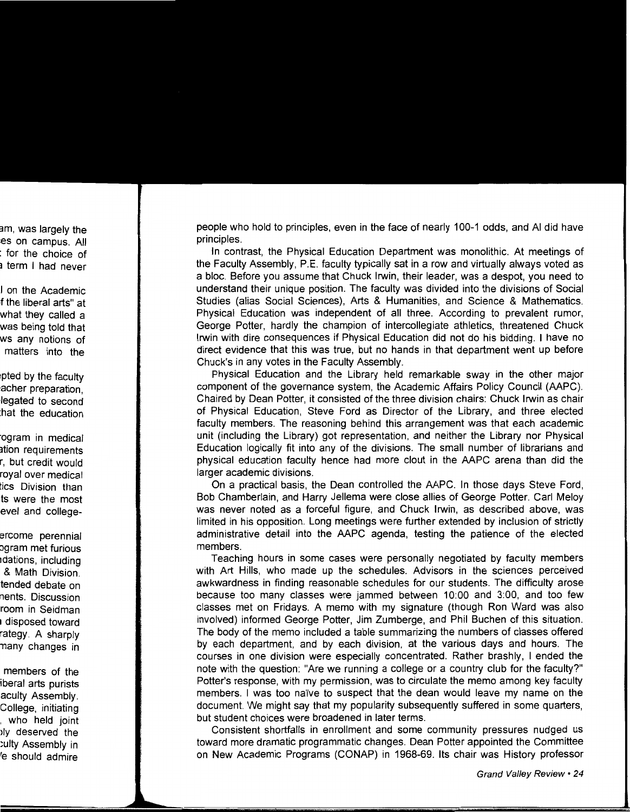people who hold to principles, even in the face of nearly 100-1 odds, and AI did have principles.

In contrast, the Physical Education Department was monolithic. At meetings of the Faculty Assembly, P.E. faculty typically sat in a row and virtually always voted as a bloc. Before you assume that Chuck Irwin, their leader, was a despot, you need to understand their unique position. The faculty was divided into the divisions of Social Studies (alias Social Sciences), Arts & Humanities, and Science & Mathematics. Physical Education was independent of all three. According to prevalent rumor, George Potter, hardly the champion of intercollegiate athletics, threatened Chuck Irwin with dire consequences if Physical Education did not do his bidding. I have no direct evidence that this was true, but no hands in that department went up before Chuck's in any votes in the Faculty Assembly.

Physical Education and the Library held remarkable sway in the other major component of the governance system, the Academic Affairs Policy Council (AAPC). Chaired by Dean Potter, it consisted of the three division chairs: Chuck Irwin as chair of Physical Education, Steve Ford as Director of the Library, and three elected faculty members. The reasoning behind this arrangement was that each academic unit (including the Library) got representation, and neither the Library nor Physical Education logically fit into any of the divisions. The small number of librarians and physical education faculty hence had more clout in the AAPC arena than did the larger academic divisions.

On a practical basis, the Dean controlled the AAPC. In those days Steve Ford, Bob Chamberlain, and Harry Jellema were close allies of George Potter. Carl Meloy was never noted as a forceful figure, and Chuck Irwin, as described above, was limited in his opposition. Long meetings were further extended by inclusion of strictly administrative detail into the AAPC agenda, testing the patience of the elected members.

Teaching hours in some cases were personally negotiated by faculty members with Art Hills, who made up the schedules. Advisors in the sciences perceived awkwardness in finding reasonable schedules for our students. The difficulty arose because too many classes were jammed between 10:00 and 3:00, and too few classes met on Fridays. A memo with my signature (though Ron Ward was also involved) informed George Potter, Jim Zumberge, and Phil Buchen of this situation. The body of the memo included a table summarizing the numbers of classes offered by each department, and by each division, at the various days and hours. The courses in one division were especially concentrated. Rather brashly, I ended the note with the question: "Are we running a college or a country club for the faculty?" Potter's response, with my permission, was to circulate the memo among key faculty members. I was too naive to suspect that the dean would leave my name on the document. We might say that my popularity subsequently suffered in some quarters, but student choices were broadened in later terms.

Consistent shortfalls in enrollment and some community pressures nudged us toward more dramatic programmatic changes. Dean Potter appointed the Committee on New Academic Programs (CONAP) in 1968-69. Its chair was History professor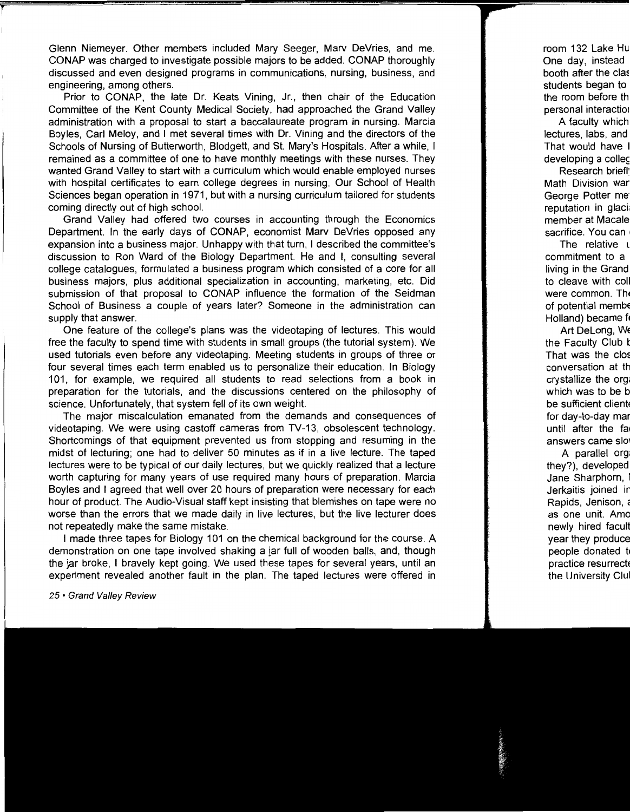Glenn Niemeyer. Other members included Mary Seeger, Marv DeVries, and me. CONAP was charged to investigate possible majors to be added. CONAP thoroughly discussed and even designed programs in communications, nursing, business, and engineering, among others.

Prior to CONAP, the late Dr. Keats Vining, Jr., then chair of the Education Committee of the Kent County Medical Society, had approached the Grand Valley administration with a proposal to start a baccalaureate program in nursing. Marcia Boyles, Carl Meloy, and I met several times with Dr. Vining and the directors of the Schools of Nursing of Butterworth, Blodgett, and St. Mary's Hospitals. After a while, I remained as a committee of one to have monthly meetings with these nurses. They wanted Grand Valley to start with a curriculum which would enable employed nurses with hospital certificates to earn college degrees in nursing. Our School of Health Sciences began operation in 1971, but with a nursing curriculum tailored for students coming directly out of high school.

Grand Valley had offered two courses in accounting through the Economics Department. In the early days of CONAP, economist Marv DeVries opposed any expansion into a business major. Unhappy with that turn, I described the committee's discussion to Ron Ward of the Biology Department. He and I, consulting several college catalogues, formulated a business program which consisted of a core for all business majors, plus additional specialization in accounting, marketing, etc. Did submission of that proposal to CONAP influence the formation of the Seidman School of Business a couple of years later? Someone in the administration can supply that answer.

One feature of the college's plans was the videotaping of lectures. This would free the faculty to spend time with students in small groups (the tutorial system). We used tutorials even before any videotaping. Meeting students in groups of three or four several times each term enabled us to personalize their education. In Biology 101, for example, we required all students to read selections from a book in preparation for the tutorials, and the discussions centered on the philosophy of science. Unfortunately, that system fell of its own weight.

The major miscalculation emanated from the demands and consequences of videotaping. We were using castoff cameras from TV-13, obsolescent technology. Shortcomings of that equipment prevented us from stopping and resuming in the midst of lecturing; one had to deliver 50 minutes as if in a live lecture. The taped lectures were to be typical of our daily lectures, but we quickly realized that a lecture worth capturing for many years of use required many hours of preparation. Marcia Boyles and I agreed that well over 20 hours of preparation were necessary for each hour of product. The Audio-Visual staff kept insisting that blemishes on tape were no worse than the errors that we made daily in live lectures, but the live lecturer does not repeatedly make the same mistake.

I made three tapes for Biology 101 on the chemical background for the course. A demonstration on one tape involved shaking a jar full of wooden balls, and, though the jar broke, I bravely kept going. We used these tapes for several years, until an experiment revealed another fault in the plan. The taped lectures were offered in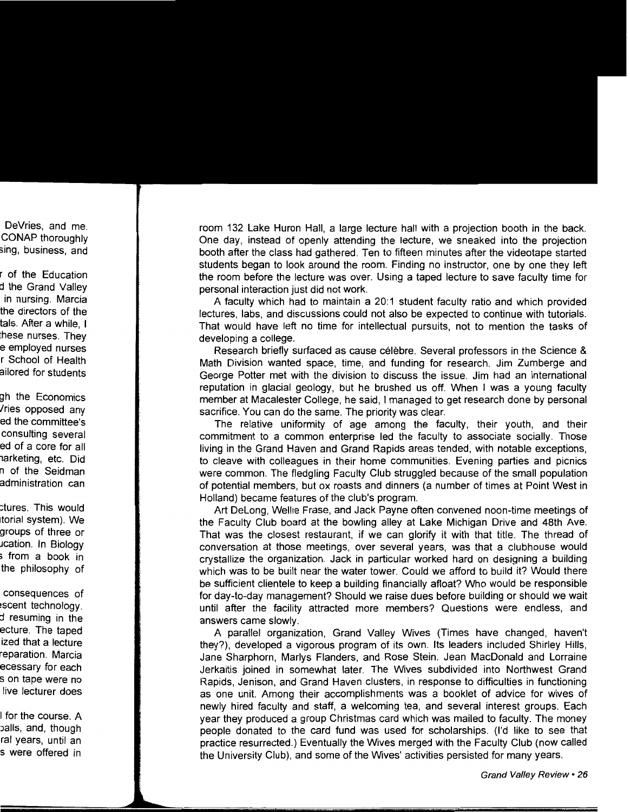room 132 Lake Huron Hall, a large lecture hall with a projection booth in the back. One day, instead of openly attending the lecture, we sneaked into the projection booth after the class had gathered. Ten to fifteen minutes after the videotape started students began to look around the room. Finding no instructor, one by one they left the room before the lecture was over. Using a taped lecture to save faculty time for personal interaction just did not work.

A faculty which had to maintain a 20:1 student faculty ratio and which provided lectures, labs, and discussions could not also be expected to continue with tutorials. That would have left no time for intellectual pursuits, not to mention the tasks of developing a college.

Research briefly surfaced as cause celebre. Several professors in the Science & Math Division wanted space, time, and funding for research. Jim Zumberge and George Potter met with the division to discuss the issue. Jim had an international reputation in glacial geology, but he brushed us off. When I was a young faculty member at Macalester College, he said, I managed to get research done by personal sacrifice. You can do the same. The priority was clear.

The relative uniformity of age among the faculty, their youth, and their commitment to a common enterprise led the faculty to associate socially. Those living in the Grand Haven and Grand Rapids areas tended, with notable exceptions, to cleave with colleagues in their home communities. Evening parties and picnics were common. The fledgling Faculty Club struggled because of the small population of potential members, but ox roasts and dinners (a number of times at Point West in Holland) became features of the club's program.

Art Delong, Wellie Frase, and Jack Payne often convened noon-time meetings of the Faculty Club board at the bowling alley at Lake Michigan Drive and 48th Ave. That was the closest restaurant, if we can glorify it with that title. The thread of conversation at those meetings, over several years, was that a clubhouse would crystallize the organization. Jack in particular worked hard on designing a building which was to be built near the water tower. Could we afford to build it? Would there be sufficient clientele to keep a building financially afloat? Who would be responsible for day-to-day management? Should we raise dues before building or should we wait until after the facility attracted more members? Questions were endless, and answers came slowly.

A parallel organization, Grand Valley Wives (Times have changed, haven't they?}, developed a vigorous program of its own. Its leaders included Shirley Hills, Jane Sharphorn, Marlys Flanders, and Rose Stein. Jean MacDonald and Lorraine Jerkaitis joined in somewhat later. The Wives subdivided into Northwest Grand Rapids, Jenison, and Grand Haven clusters, in response to difficulties in functioning as one unit. Among their accomplishments was a booklet of advice for wives of newly hired faculty and staff, a welcoming tea, and several interest groups. Each year they produced a group Christmas card which was mailed to faculty. The money people donated to the card fund was used for scholarships. (I'd like to see that practice resurrected.) Eventually the Wives merged with the Faculty Club (now called the University Club}, and some of the Wives' activities persisted for many years.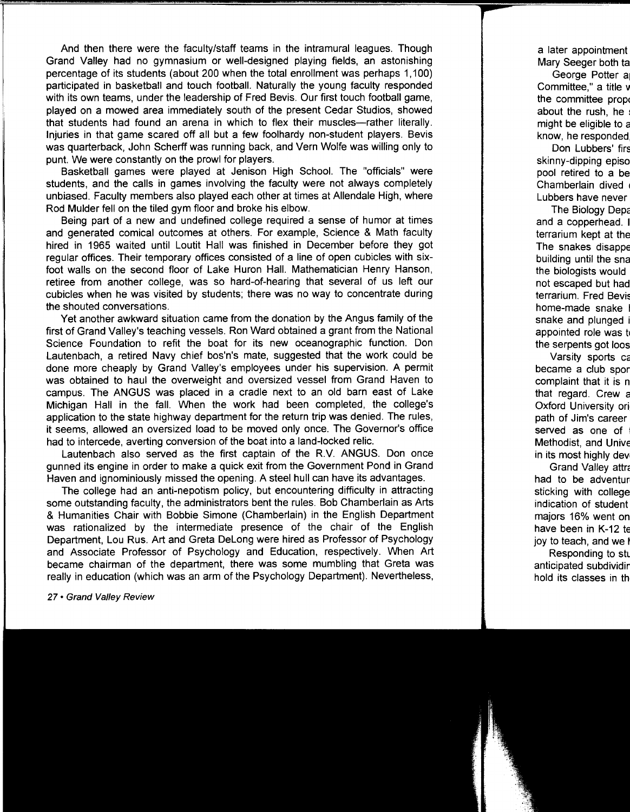And then there were the faculty/staff teams in the intramural leagues. Though Grand Valley had no gymnasium or well-designed playing fields, an astonishing percentage of its students (about 200 when the total enrollment was perhaps 1,100) participated in basketball and touch football. Naturally the young faculty responded with its own teams, under the leadership of Fred Bevis. Our first touch football game, played on a mowed area immediately south of the present Cedar Studios, showed that students had found an arena in which to flex their muscles--rather literally. Injuries in that game scared off all but a few foolhardy non-student players. Bevis was quarterback, John Scherff was running back, and Vern Wolfe was willing only to punt. We were constantly on the prowl for players.

Basketball games were played at Jenison High School. The "officials" were students, and the calls in games involving the faculty were not always completely unbiased. Faculty members also played each other at times at Allendale High, where Rod Mulder fell on the tiled gym floor and broke his elbow.

Being part of a new and undefined college required a sense of humor at times and generated comical outcomes at others. For example, Science & Math faculty hired in 1965 waited until Loutit Hall was finished in December before they got regular offices. Their temporary offices consisted of a line of open cubicles with sixfoot walls on the second floor of Lake Huron Hall. Mathematician Henry Hanson, retiree from another college, was so hard-of-hearing that several of us left our cubicles when he was visited by students; there was no way to concentrate during the shouted conversations.

Yet another awkward situation came from the donation by the Angus family of the first of Grand Valley's teaching vessels. Ron Ward obtained a grant from the National Science Foundation to refit the boat for its new oceanographic function. Don Lautenbach, a retired Navy chief bos'n's mate, suggested that the work could be done more cheaply by Grand Valley's employees under his supervision. A permit was obtained to haul the overweight and oversized vessel from Grand Haven to campus. The ANGUS was placed in a cradle next to an old barn east of Lake Michigan Hall in the fall. When the work had been completed, the college's application to the state highway department for the return trip was denied. The rules, it seems, allowed an oversized load to be moved only once. The Governor's office had to intercede, averting conversion of the boat into a land-locked relic.

Lautenbach also served as the first captain of the R.V. ANGUS. Don once gunned its engine in order to make a quick exit from the Government Pond in Grand Haven and ignominiously missed the opening. A steel hull can have its advantages.

The college had an anti-nepotism policy, but encountering difficulty in attracting some outstanding faculty, the administrators bent the rules. Bob Chamberlain as Arts & Humanities Chair with Bobbie Simone (Chamberlain) in the English Department was rationalized by the intermediate presence of the chair of the English Department, Lou Rus. Art and Greta Delong were hired as Professor of Psychology and Associate Professor of Psychology and Education, respectively. When Art became chairman of the department, there was some mumbling that Greta was really in education (which was an arm of the Psychology Department). Nevertheless,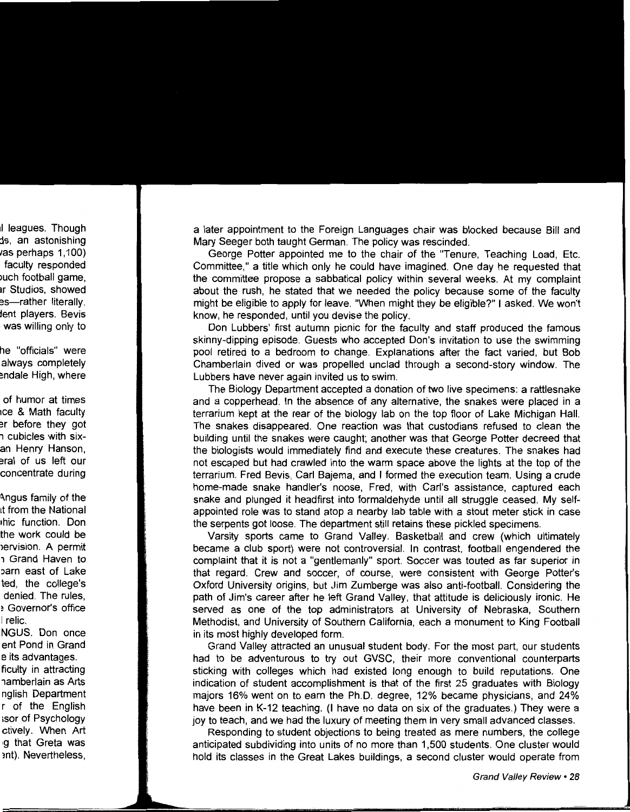a later appointment to the Foreign Languages chair was blocked because Bill and Mary Seeger both taught German. The policy was rescinded.

George Potter appointed me to the chair of the "Tenure, Teaching Load, Etc. Committee," a title which only he could have imagined. One day he requested that the committee propose a sabbatical policy within several weeks. At my complaint about the rush, he stated that we needed the policy because some of the faculty might be eligible to apply for leave. "When might they be eligible?" I asked. We won't know, he responded, until you devise the policy.

Don Lubbers' first autumn picnic for the faculty and staff produced the famous skinny-dipping episode. Guests who accepted Don's invitation to use the swimming pool retired to a bedroom to change. Explanations after the fact varied, but Bob Chamberlain dived or was propelled unclad through a second-story window. The Lubbers have never again invited us to swim.

The Biology Department accepted a donation of two live specimens: a rattlesnake and a copperhead. In the absence of any alternative, the snakes were placed in a terrarium kept at the rear of the biology lab on the top floor of Lake Michigan Hall. The snakes disappeared. One reaction was that custodians refused to clean the building until the snakes were caught; another was that George Potter decreed that the biologists would immediately find and execute these creatures. The snakes had not escaped but had crawled into the warm space above the lights at the top of the terrarium. Fred Bevis, Carl Bajema, and I formed the execution team. Using a crude home-made snake handler's noose, Fred, with Carl's assistance, captured each snake and plunged it headfirst into formaldehyde until all struggle ceased. My selfappointed role was to stand atop a nearby lab table with a stout meter stick in case the serpents got loose. The department still retains these pickled specimens.

Varsity sports came to Grand Valley. Basketball and crew (which ultimately became a club sport) were not controversial. In contrast, football engendered the complaint that it is not a "gentlemanly" sport. Soccer was touted as far superior in that regard. Crew and soccer, of course, were consistent with George Potter's Oxford University origins, but Jim Zumberge was also anti-football. Considering the path of Jim's career after he left Grand Valley, that attitude is deliciously ironic. He served as one of the top administrators at University of Nebraska, Southern Methodist, and University of Southern California, each a monument to King Football in its most highly developed form.

Grand Valley attracted an unusual student body. For the most part, our students had to be adventurous to try out GVSC, their more conventional counterparts sticking with colleges which had existed long enough to build reputations. One indication of student accomplishment is that of the first 25 graduates with Biology majors 16% went on to earn the Ph.D. degree, 12% became physicians, and 24% have been in K-12 teaching. (I have no data on six of the graduates.) They were a joy to teach, and we had the luxury of meeting them in very small advanced classes.

Responding to student objections to being treated as mere numbers, the college anticipated subdividing into units of no more than 1,500 students. One cluster would hold its classes in the Great Lakes buildings, a second cluster would operate from